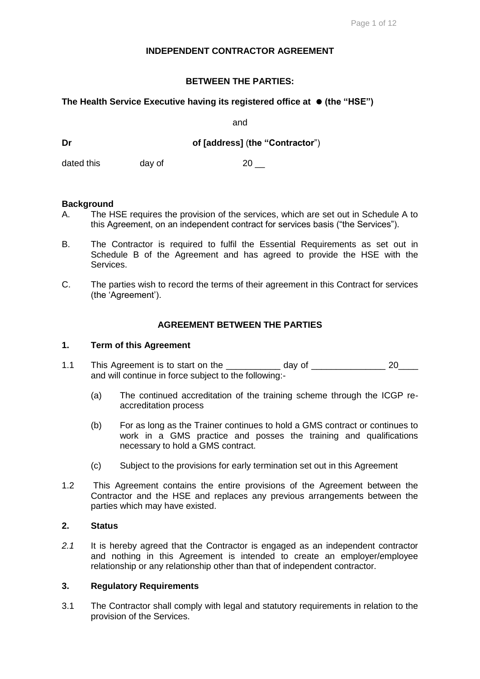## **INDEPENDENT CONTRACTOR AGREEMENT**

## **BETWEEN THE PARTIES:**

## **The Health Service Executive having its registered office at (the "HSE")**

and

**Dr of [address]** (**the "Contractor**")

dated this day of 20

#### **Background**

- A. The HSE requires the provision of the services, which are set out in Schedule A to this Agreement, on an independent contract for services basis ("the Services").
- B. The Contractor is required to fulfil the Essential Requirements as set out in Schedule B of the Agreement and has agreed to provide the HSE with the Services.
- C. The parties wish to record the terms of their agreement in this Contract for services (the 'Agreement').

## **AGREEMENT BETWEEN THE PARTIES**

#### **1. Term of this Agreement**

- 1.1 This Agreement is to start on the \_\_\_\_\_\_\_\_\_\_\_ day of \_\_\_\_\_\_\_\_\_\_\_\_\_\_\_ 20\_\_\_\_ and will continue in force subject to the following:-
	- (a) The continued accreditation of the training scheme through the ICGP reaccreditation process
	- (b) For as long as the Trainer continues to hold a GMS contract or continues to work in a GMS practice and posses the training and qualifications necessary to hold a GMS contract.
	- (c) Subject to the provisions for early termination set out in this Agreement
- 1.2 This Agreement contains the entire provisions of the Agreement between the Contractor and the HSE and replaces any previous arrangements between the parties which may have existed.

## **2. Status**

*2.1* It is hereby agreed that the Contractor is engaged as an independent contractor and nothing in this Agreement is intended to create an employer/employee relationship or any relationship other than that of independent contractor.

## **3. Regulatory Requirements**

3.1 The Contractor shall comply with legal and statutory requirements in relation to the provision of the Services.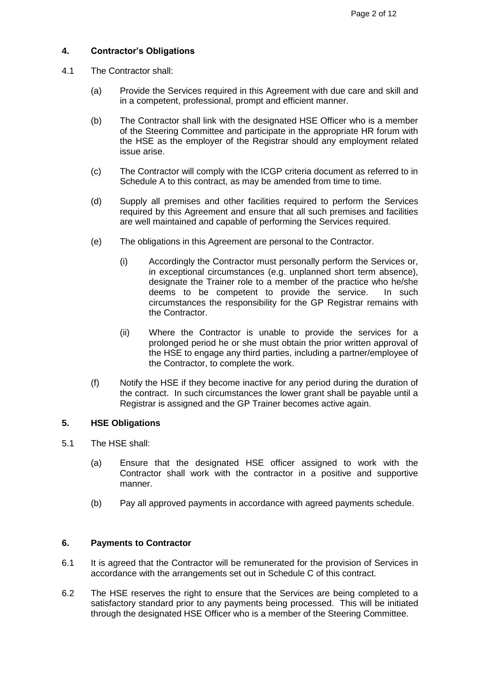## **4. Contractor's Obligations**

- 4.1 The Contractor shall:
	- (a) Provide the Services required in this Agreement with due care and skill and in a competent, professional, prompt and efficient manner.
	- (b) The Contractor shall link with the designated HSE Officer who is a member of the Steering Committee and participate in the appropriate HR forum with the HSE as the employer of the Registrar should any employment related issue arise.
	- (c) The Contractor will comply with the ICGP criteria document as referred to in Schedule A to this contract, as may be amended from time to time.
	- (d) Supply all premises and other facilities required to perform the Services required by this Agreement and ensure that all such premises and facilities are well maintained and capable of performing the Services required.
	- (e) The obligations in this Agreement are personal to the Contractor.
		- (i) Accordingly the Contractor must personally perform the Services or, in exceptional circumstances (e.g. unplanned short term absence), designate the Trainer role to a member of the practice who he/she deems to be competent to provide the service. In such circumstances the responsibility for the GP Registrar remains with the Contractor.
		- (ii) Where the Contractor is unable to provide the services for a prolonged period he or she must obtain the prior written approval of the HSE to engage any third parties, including a partner/employee of the Contractor, to complete the work.
	- (f) Notify the HSE if they become inactive for any period during the duration of the contract. In such circumstances the lower grant shall be payable until a Registrar is assigned and the GP Trainer becomes active again.

## **5. HSE Obligations**

- 5.1 The HSE shall:
	- (a) Ensure that the designated HSE officer assigned to work with the Contractor shall work with the contractor in a positive and supportive manner.
	- (b) Pay all approved payments in accordance with agreed payments schedule.

## **6. Payments to Contractor**

- 6.1 It is agreed that the Contractor will be remunerated for the provision of Services in accordance with the arrangements set out in Schedule C of this contract.
- 6.2 The HSE reserves the right to ensure that the Services are being completed to a satisfactory standard prior to any payments being processed. This will be initiated through the designated HSE Officer who is a member of the Steering Committee.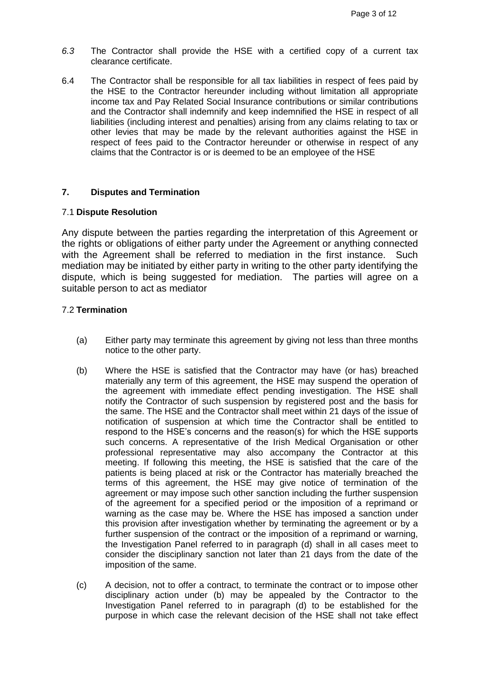- *6.3* The Contractor shall provide the HSE with a certified copy of a current tax clearance certificate.
- 6.4 The Contractor shall be responsible for all tax liabilities in respect of fees paid by the HSE to the Contractor hereunder including without limitation all appropriate income tax and Pay Related Social Insurance contributions or similar contributions and the Contractor shall indemnify and keep indemnified the HSE in respect of all liabilities (including interest and penalties) arising from any claims relating to tax or other levies that may be made by the relevant authorities against the HSE in respect of fees paid to the Contractor hereunder or otherwise in respect of any claims that the Contractor is or is deemed to be an employee of the HSE

## **7. Disputes and Termination**

#### 7.1 **Dispute Resolution**

Any dispute between the parties regarding the interpretation of this Agreement or the rights or obligations of either party under the Agreement or anything connected with the Agreement shall be referred to mediation in the first instance. Such mediation may be initiated by either party in writing to the other party identifying the dispute, which is being suggested for mediation. The parties will agree on a suitable person to act as mediator

## 7.2 **Termination**

- (a) Either party may terminate this agreement by giving not less than three months notice to the other party.
- (b) Where the HSE is satisfied that the Contractor may have (or has) breached materially any term of this agreement, the HSE may suspend the operation of the agreement with immediate effect pending investigation. The HSE shall notify the Contractor of such suspension by registered post and the basis for the same. The HSE and the Contractor shall meet within 21 days of the issue of notification of suspension at which time the Contractor shall be entitled to respond to the HSE's concerns and the reason(s) for which the HSE supports such concerns. A representative of the Irish Medical Organisation or other professional representative may also accompany the Contractor at this meeting. If following this meeting, the HSE is satisfied that the care of the patients is being placed at risk or the Contractor has materially breached the terms of this agreement, the HSE may give notice of termination of the agreement or may impose such other sanction including the further suspension of the agreement for a specified period or the imposition of a reprimand or warning as the case may be. Where the HSE has imposed a sanction under this provision after investigation whether by terminating the agreement or by a further suspension of the contract or the imposition of a reprimand or warning, the Investigation Panel referred to in paragraph (d) shall in all cases meet to consider the disciplinary sanction not later than 21 days from the date of the imposition of the same.
- (c) A decision, not to offer a contract, to terminate the contract or to impose other disciplinary action under (b) may be appealed by the Contractor to the Investigation Panel referred to in paragraph (d) to be established for the purpose in which case the relevant decision of the HSE shall not take effect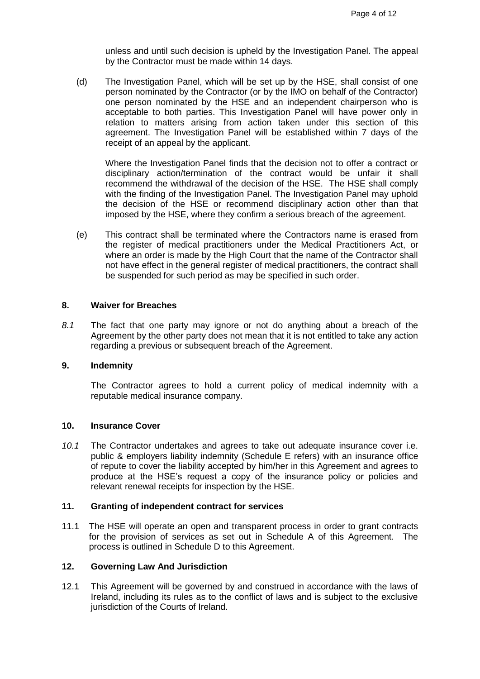unless and until such decision is upheld by the Investigation Panel. The appeal by the Contractor must be made within 14 days.

(d) The Investigation Panel, which will be set up by the HSE, shall consist of one person nominated by the Contractor (or by the IMO on behalf of the Contractor) one person nominated by the HSE and an independent chairperson who is acceptable to both parties. This Investigation Panel will have power only in relation to matters arising from action taken under this section of this agreement. The Investigation Panel will be established within 7 days of the receipt of an appeal by the applicant.

Where the Investigation Panel finds that the decision not to offer a contract or disciplinary action/termination of the contract would be unfair it shall recommend the withdrawal of the decision of the HSE. The HSE shall comply with the finding of the Investigation Panel. The Investigation Panel may uphold the decision of the HSE or recommend disciplinary action other than that imposed by the HSE, where they confirm a serious breach of the agreement.

(e) This contract shall be terminated where the Contractors name is erased from the register of medical practitioners under the Medical Practitioners Act, or where an order is made by the High Court that the name of the Contractor shall not have effect in the general register of medical practitioners, the contract shall be suspended for such period as may be specified in such order.

## **8. Waiver for Breaches**

*8.1* The fact that one party may ignore or not do anything about a breach of the Agreement by the other party does not mean that it is not entitled to take any action regarding a previous or subsequent breach of the Agreement.

## **9. Indemnity**

The Contractor agrees to hold a current policy of medical indemnity with a reputable medical insurance company.

#### **10. Insurance Cover**

*10.1* The Contractor undertakes and agrees to take out adequate insurance cover i.e. public & employers liability indemnity (Schedule E refers) with an insurance office of repute to cover the liability accepted by him/her in this Agreement and agrees to produce at the HSE's request a copy of the insurance policy or policies and relevant renewal receipts for inspection by the HSE.

#### **11. Granting of independent contract for services**

11.1 The HSE will operate an open and transparent process in order to grant contracts for the provision of services as set out in Schedule A of this Agreement. The process is outlined in Schedule D to this Agreement.

## **12. Governing Law And Jurisdiction**

12.1 This Agreement will be governed by and construed in accordance with the laws of Ireland, including its rules as to the conflict of laws and is subject to the exclusive jurisdiction of the Courts of Ireland.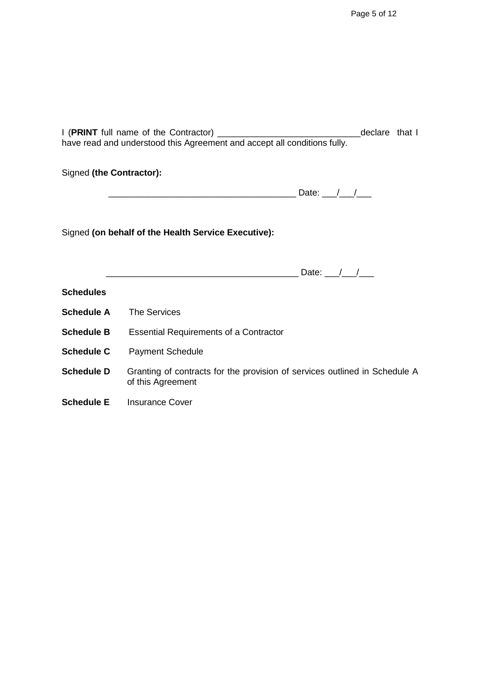| have read and understood this Agreement and accept all conditions fully. |                                                                                                 |  |  |  |
|--------------------------------------------------------------------------|-------------------------------------------------------------------------------------------------|--|--|--|
| Signed (the Contractor):                                                 |                                                                                                 |  |  |  |
|                                                                          |                                                                                                 |  |  |  |
| Signed (on behalf of the Health Service Executive):                      |                                                                                                 |  |  |  |
|                                                                          |                                                                                                 |  |  |  |
| <b>Schedules</b>                                                         |                                                                                                 |  |  |  |
| <b>Schedule A</b> The Services                                           |                                                                                                 |  |  |  |
| <b>Schedule B</b>                                                        | <b>Essential Requirements of a Contractor</b>                                                   |  |  |  |
| <b>Schedule C</b>                                                        | <b>Payment Schedule</b>                                                                         |  |  |  |
| <b>Schedule D</b>                                                        | Granting of contracts for the provision of services outlined in Schedule A<br>of this Agreement |  |  |  |
|                                                                          | <b>Schedule E</b> Insurance Cover                                                               |  |  |  |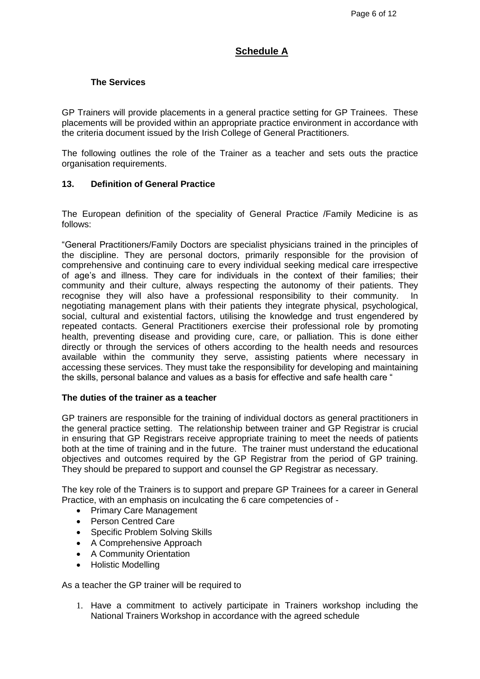# **Schedule A**

## **The Services**

GP Trainers will provide placements in a general practice setting for GP Trainees. These placements will be provided within an appropriate practice environment in accordance with the criteria document issued by the Irish College of General Practitioners.

The following outlines the role of the Trainer as a teacher and sets outs the practice organisation requirements.

#### **13. Definition of General Practice**

The European definition of the speciality of General Practice /Family Medicine is as follows:

"General Practitioners/Family Doctors are specialist physicians trained in the principles of the discipline. They are personal doctors, primarily responsible for the provision of comprehensive and continuing care to every individual seeking medical care irrespective of age's and illness. They care for individuals in the context of their families; their community and their culture, always respecting the autonomy of their patients. They recognise they will also have a professional responsibility to their community. In negotiating management plans with their patients they integrate physical, psychological, social, cultural and existential factors, utilising the knowledge and trust engendered by repeated contacts. General Practitioners exercise their professional role by promoting health, preventing disease and providing cure, care, or palliation. This is done either directly or through the services of others according to the health needs and resources available within the community they serve, assisting patients where necessary in accessing these services. They must take the responsibility for developing and maintaining the skills, personal balance and values as a basis for effective and safe health care "

#### **The duties of the trainer as a teacher**

GP trainers are responsible for the training of individual doctors as general practitioners in the general practice setting. The relationship between trainer and GP Registrar is crucial in ensuring that GP Registrars receive appropriate training to meet the needs of patients both at the time of training and in the future. The trainer must understand the educational objectives and outcomes required by the GP Registrar from the period of GP training. They should be prepared to support and counsel the GP Registrar as necessary.

The key role of the Trainers is to support and prepare GP Trainees for a career in General Practice, with an emphasis on inculcating the 6 care competencies of -

- Primary Care Management
- Person Centred Care
- Specific Problem Solving Skills
- A Comprehensive Approach
- A Community Orientation
- Holistic Modelling

As a teacher the GP trainer will be required to

1. Have a commitment to actively participate in Trainers workshop including the National Trainers Workshop in accordance with the agreed schedule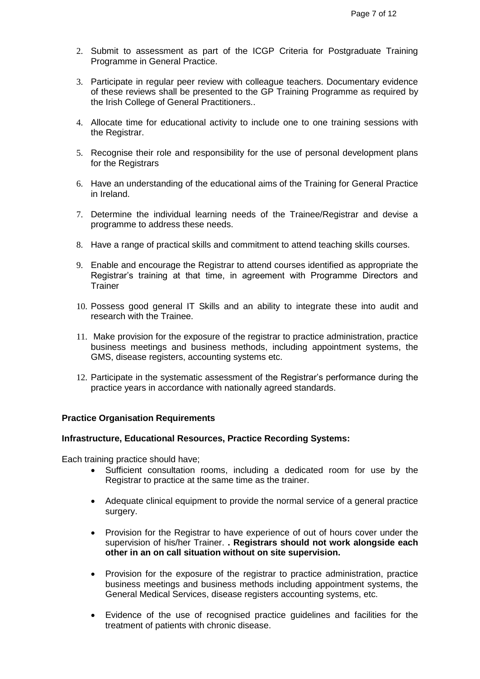- 2. Submit to assessment as part of the ICGP Criteria for Postgraduate Training Programme in General Practice.
- 3. Participate in regular peer review with colleague teachers. Documentary evidence of these reviews shall be presented to the GP Training Programme as required by the Irish College of General Practitioners..
- 4. Allocate time for educational activity to include one to one training sessions with the Registrar.
- 5. Recognise their role and responsibility for the use of personal development plans for the Registrars
- 6. Have an understanding of the educational aims of the Training for General Practice in Ireland.
- 7. Determine the individual learning needs of the Trainee/Registrar and devise a programme to address these needs.
- 8. Have a range of practical skills and commitment to attend teaching skills courses.
- 9. Enable and encourage the Registrar to attend courses identified as appropriate the Registrar's training at that time, in agreement with Programme Directors and **Trainer**
- 10. Possess good general IT Skills and an ability to integrate these into audit and research with the Trainee.
- 11. Make provision for the exposure of the registrar to practice administration, practice business meetings and business methods, including appointment systems, the GMS, disease registers, accounting systems etc.
- 12. Participate in the systematic assessment of the Registrar's performance during the practice years in accordance with nationally agreed standards.

#### **Practice Organisation Requirements**

#### **Infrastructure, Educational Resources, Practice Recording Systems:**

Each training practice should have;

- Sufficient consultation rooms, including a dedicated room for use by the Registrar to practice at the same time as the trainer.
- Adequate clinical equipment to provide the normal service of a general practice surgery.
- Provision for the Registrar to have experience of out of hours cover under the supervision of his/her Trainer. **. Registrars should not work alongside each other in an on call situation without on site supervision.**
- Provision for the exposure of the registrar to practice administration, practice business meetings and business methods including appointment systems, the General Medical Services, disease registers accounting systems, etc.
- Evidence of the use of recognised practice guidelines and facilities for the treatment of patients with chronic disease.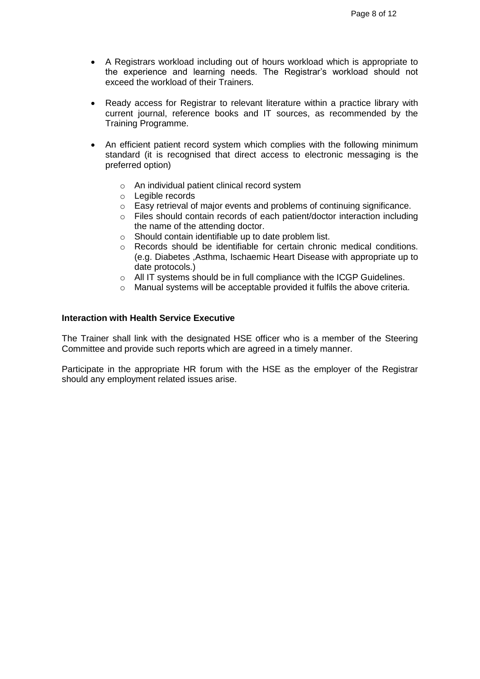- A Registrars workload including out of hours workload which is appropriate to the experience and learning needs. The Registrar's workload should not exceed the workload of their Trainers.
- Ready access for Registrar to relevant literature within a practice library with current journal, reference books and IT sources, as recommended by the Training Programme.
- An efficient patient record system which complies with the following minimum standard (it is recognised that direct access to electronic messaging is the preferred option)
	- o An individual patient clinical record system
	- o Legible records
	- o Easy retrieval of major events and problems of continuing significance.
	- o Files should contain records of each patient/doctor interaction including the name of the attending doctor.
	- o Should contain identifiable up to date problem list.
	- o Records should be identifiable for certain chronic medical conditions. (e.g. Diabetes ,Asthma, Ischaemic Heart Disease with appropriate up to date protocols.)
	- o All IT systems should be in full compliance with the ICGP Guidelines.
	- o Manual systems will be acceptable provided it fulfils the above criteria.

## **Interaction with Health Service Executive**

The Trainer shall link with the designated HSE officer who is a member of the Steering Committee and provide such reports which are agreed in a timely manner.

Participate in the appropriate HR forum with the HSE as the employer of the Registrar should any employment related issues arise.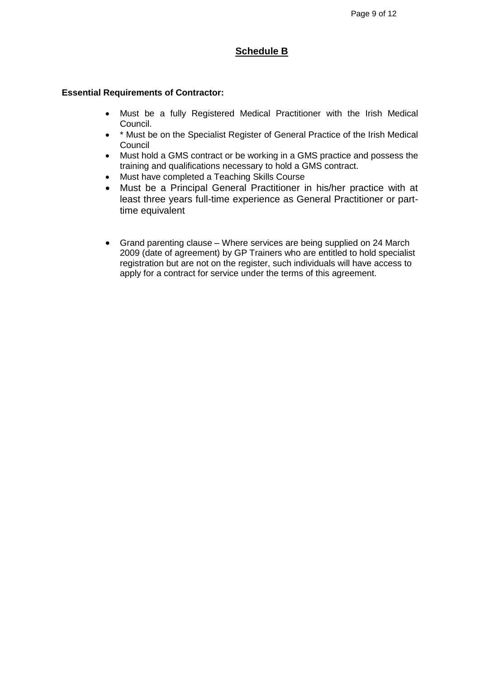# **Schedule B**

#### **Essential Requirements of Contractor:**

- Must be a fully Registered Medical Practitioner with the Irish Medical Council.
- \* \* Must be on the Specialist Register of General Practice of the Irish Medical Council
- Must hold a GMS contract or be working in a GMS practice and possess the training and qualifications necessary to hold a GMS contract.
- Must have completed a Teaching Skills Course
- Must be a Principal General Practitioner in his/her practice with at least three years full-time experience as General Practitioner or parttime equivalent
- Grand parenting clause Where services are being supplied on 24 March 2009 (date of agreement) by GP Trainers who are entitled to hold specialist registration but are not on the register, such individuals will have access to apply for a contract for service under the terms of this agreement.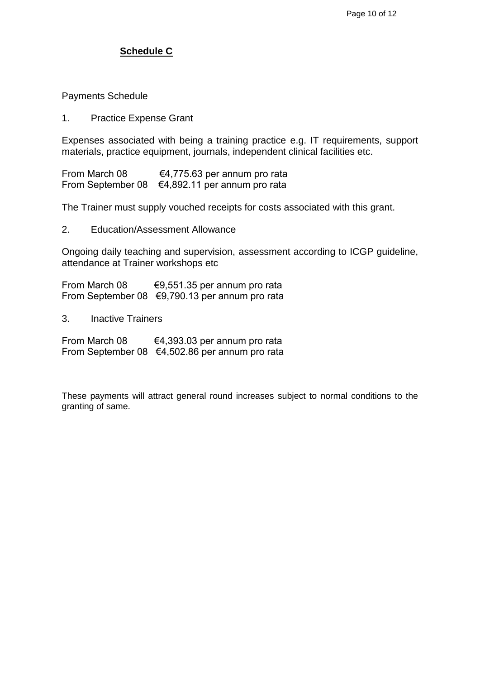# **Schedule C**

Payments Schedule

1. Practice Expense Grant

Expenses associated with being a training practice e.g. IT requirements, support materials, practice equipment, journals, independent clinical facilities etc.

From March 08 €4,775.63 per annum pro rata From September 08 €4,892.11 per annum pro rata

The Trainer must supply vouched receipts for costs associated with this grant.

2. Education/Assessment Allowance

Ongoing daily teaching and supervision, assessment according to ICGP guideline, attendance at Trainer workshops etc

From March 08 €9,551.35 per annum pro rata From September 08 €9,790.13 per annum pro rata

3. Inactive Trainers

From March 08 €4,393.03 per annum pro rata From September 08 €4,502.86 per annum pro rata

These payments will attract general round increases subject to normal conditions to the granting of same.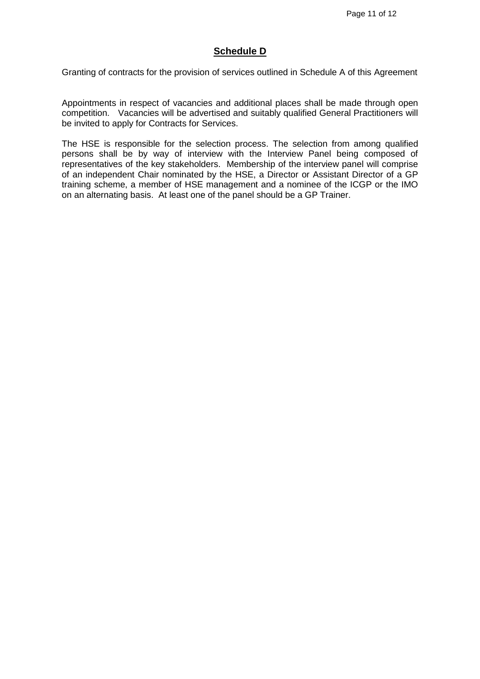# **Schedule D**

Granting of contracts for the provision of services outlined in Schedule A of this Agreement

Appointments in respect of vacancies and additional places shall be made through open competition. Vacancies will be advertised and suitably qualified General Practitioners will be invited to apply for Contracts for Services.

The HSE is responsible for the selection process. The selection from among qualified persons shall be by way of interview with the Interview Panel being composed of representatives of the key stakeholders. Membership of the interview panel will comprise of an independent Chair nominated by the HSE, a Director or Assistant Director of a GP training scheme, a member of HSE management and a nominee of the ICGP or the IMO on an alternating basis. At least one of the panel should be a GP Trainer.